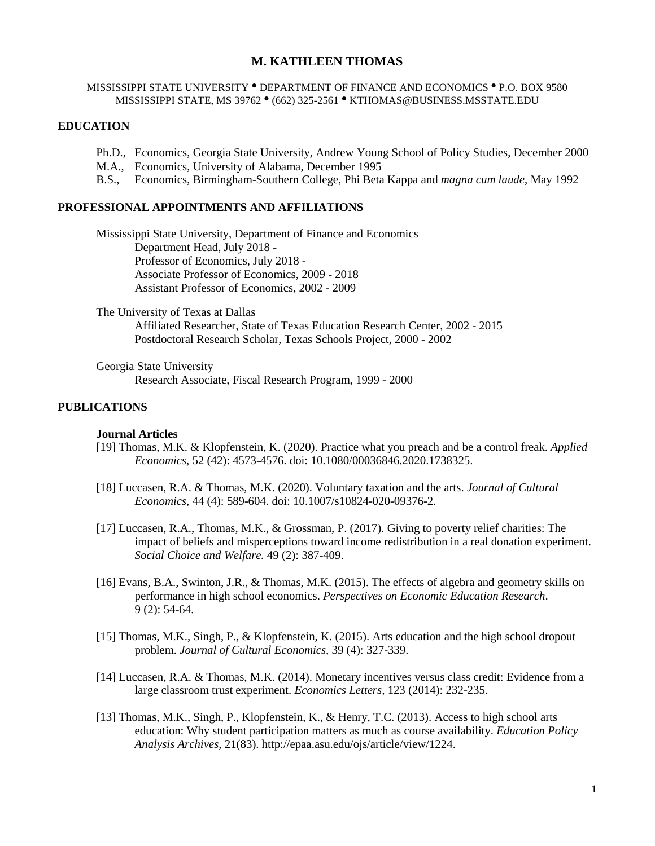# **M. KATHLEEN THOMAS**

#### MISSISSIPPI STATE UNIVERSITY . DEPARTMENT OF FINANCE AND ECONOMICS . P.O. BOX 9580 MISSISSIPPI STATE, MS 39762 <sup>.</sup> (662) 325-2561 · KTHOMAS@BUSINESS.MSSTATE.EDU

# **EDUCATION**

- Ph.D., Economics, Georgia State University, Andrew Young School of Policy Studies, December 2000
- M.A., Economics, University of Alabama, December 1995
- B.S., Economics, Birmingham-Southern College, Phi Beta Kappa and *magna cum laude*, May 1992

# **PROFESSIONAL APPOINTMENTS AND AFFILIATIONS**

Mississippi State University, Department of Finance and Economics Department Head, July 2018 - Professor of Economics, July 2018 - Associate Professor of Economics, 2009 - 2018 Assistant Professor of Economics, 2002 - 2009

The University of Texas at Dallas Affiliated Researcher, State of Texas Education Research Center, 2002 - 2015 Postdoctoral Research Scholar, Texas Schools Project, 2000 - 2002

Georgia State University Research Associate, Fiscal Research Program, 1999 - 2000

### **PUBLICATIONS**

#### **Journal Articles**

- [19] Thomas, M.K. & Klopfenstein, K. (2020). Practice what you preach and be a control freak. *Applied Economics*, 52 (42): 4573-4576. doi: 10.1080/00036846.2020.1738325.
- [18] Luccasen, R.A. & Thomas, M.K. (2020). Voluntary taxation and the arts. *Journal of Cultural Economics*, 44 (4): 589-604. doi: 10.1007/s10824-020-09376-2.
- [17] Luccasen, R.A., Thomas, M.K., & Grossman, P. (2017). Giving to poverty relief charities: The impact of beliefs and misperceptions toward income redistribution in a real donation experiment. *Social Choice and Welfare.* 49 (2): 387-409.
- [16] Evans, B.A., Swinton, J.R., & Thomas, M.K. (2015). The effects of algebra and geometry skills on performance in high school economics. *Perspectives on Economic Education Research*. 9 (2): 54-64.
- [15] Thomas, M.K., Singh, P., & Klopfenstein, K. (2015). Arts education and the high school dropout problem. *Journal of Cultural Economics*, 39 (4): 327-339.
- [14] Luccasen, R.A. & Thomas, M.K. (2014). Monetary incentives versus class credit: Evidence from a large classroom trust experiment. *Economics Letters,* 123 (2014): 232-235.
- [13] Thomas, M.K., Singh, P., Klopfenstein, K., & Henry, T.C. (2013). Access to high school arts education: Why student participation matters as much as course availability. *Education Policy Analysis Archives,* 21(83). [http://epaa.asu.edu/ojs/article/view/1224.](http://epaa.asu.edu/ojs/article/view/1224)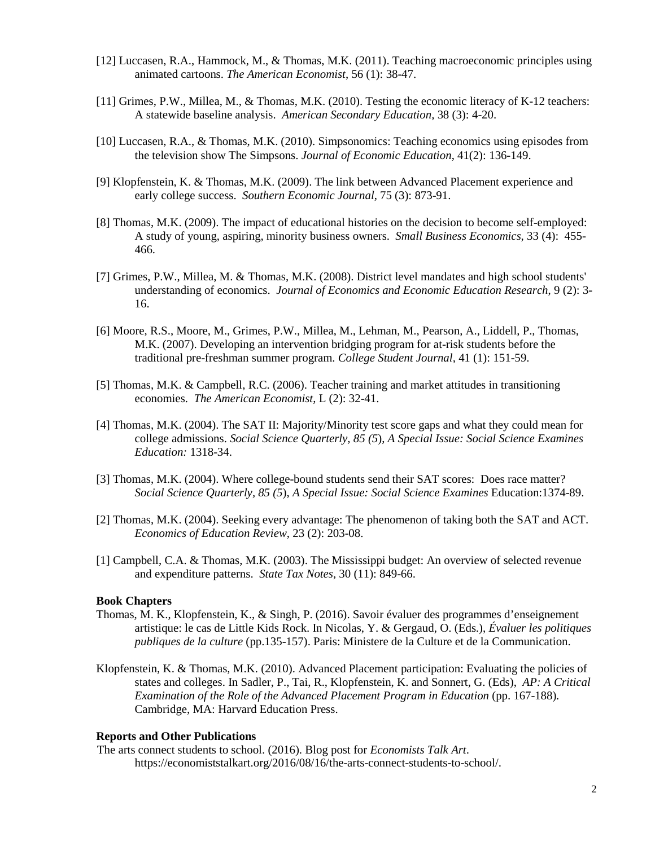- [12] Luccasen, R.A., Hammock, M., & Thomas, M.K. (2011). Teaching macroeconomic principles using animated cartoons. *The American Economist*, 56 (1): 38-47.
- [11] Grimes, P.W., Millea, M., & Thomas, M.K. (2010). Testing the economic literacy of K-12 teachers: A statewide baseline analysis. *American Secondary Education,* 38 (3): 4-20.
- [10] Luccasen, R.A., & Thomas, M.K. (2010). Simpsonomics: Teaching economics using episodes from the television show The Simpsons. *Journal of Economic Education*, 41(2): 136-149.
- [9] Klopfenstein, K. & Thomas, M.K. (2009). The link between Advanced Placement experience and early college success. *Southern Economic Journal*, 75 (3): 873-91.
- [8] Thomas, M.K. (2009). The impact of educational histories on the decision to become self-employed: A study of young, aspiring, minority business owners. *Small Business Economics,* 33 (4): 455- 466.
- [7] Grimes, P.W., Millea, M. & Thomas, M.K. (2008). District level mandates and high school students' understanding of economics. *Journal of Economics and Economic Education Research*, 9 (2): 3- 16.
- [6] Moore, R.S., Moore, M., Grimes, P.W., Millea, M., Lehman, M., Pearson, A., Liddell, P., Thomas, M.K. (2007). Developing an intervention bridging program for at-risk students before the traditional pre-freshman summer program. *College Student Journal,* 41 (1): 151-59.
- [5] Thomas, M.K. & Campbell, R.C. (2006). Teacher training and market attitudes in transitioning economies. *The American Economist*, L (2): 32-41.
- [4] Thomas, M.K. (2004). The SAT II: Majority/Minority test score gaps and what they could mean for college admissions. *Social Science Quarterly, 85 (5*), *A Special Issue: Social Science Examines Education:* 1318-34.
- [3] Thomas, M.K. (2004). Where college-bound students send their SAT scores: Does race matter? *Social Science Quarterly, 85 (5*), *A Special Issue: Social Science Examines* Education:1374-89.
- [2] Thomas, M.K. (2004). Seeking every advantage: The phenomenon of taking both the SAT and ACT. *Economics of Education Review*, 23 (2): 203-08.
- [1] Campbell, C.A. & Thomas, M.K. (2003). The Mississippi budget: An overview of selected revenue and expenditure patterns. *State Tax Notes,* 30 (11): 849-66.

#### **Book Chapters**

- Thomas, M. K., Klopfenstein, K., & Singh, P. (2016). Savoir évaluer des programmes d'enseignement artistique: le cas de Little Kids Rock. In Nicolas, Y. & Gergaud, O. (Eds.), *Évaluer les politiques publiques de la culture* (pp.135-157). Paris: Ministere de la Culture et de la Communication.
- Klopfenstein, K. & Thomas, M.K. (2010). Advanced Placement participation: Evaluating the policies of states and colleges. In Sadler, P., Tai, R., Klopfenstein, K. and Sonnert, G. (Eds), *AP: A Critical Examination of the Role of the Advanced Placement Program in Education* (pp. 167-188). Cambridge, MA: Harvard Education Press.

#### **Reports and Other Publications**

The arts connect students to school. (2016). Blog post for *Economists Talk Art*. https://economiststalkart.org/2016/08/16/the-arts-connect-students-to-school/.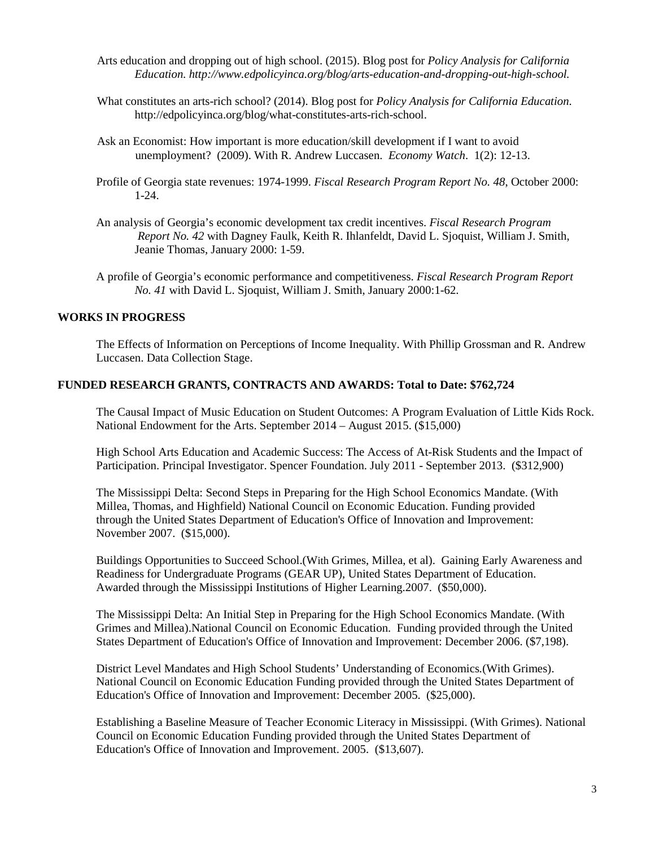- Arts education and dropping out of high school. (2015). Blog post for *Policy Analysis for California Education. http://www.edpolicyinca.org/blog/arts-education-and-dropping-out-high-school.*
- What constitutes an arts-rich school? (2014). Blog post for *Policy Analysis for California Education*. http://edpolicyinca.org/blog/what-constitutes-arts-rich-school.
- Ask an Economist: How important is more education/skill development if I want to avoid unemployment? (2009). With R. Andrew Luccasen. *Economy Watch*. 1(2): 12-13.
- Profile of Georgia state revenues: 1974-1999. *Fiscal Research Program Report No. 48*, October 2000: 1-24.
- An analysis of Georgia's economic development tax credit incentives. *Fiscal Research Program Report No. 42* with Dagney Faulk, Keith R. Ihlanfeldt, David L. Sjoquist, William J. Smith, Jeanie Thomas, January 2000: 1-59.
- A profile of Georgia's economic performance and competitiveness. *Fiscal Research Program Report No. 41* with David L. Sjoquist, William J. Smith, January 2000:1-62.

# **WORKS IN PROGRESS**

The Effects of Information on Perceptions of Income Inequality. With Phillip Grossman and R. Andrew Luccasen. Data Collection Stage.

#### **FUNDED RESEARCH GRANTS, CONTRACTS AND AWARDS: Total to Date: \$762,724**

The Causal Impact of Music Education on Student Outcomes: A Program Evaluation of Little Kids Rock. National Endowment for the Arts. September 2014 – August 2015. (\$15,000)

High School Arts Education and Academic Success: The Access of At-Risk Students and the Impact of Participation. Principal Investigator. Spencer Foundation. July 2011 - September 2013. (\$312,900)

The Mississippi Delta: Second Steps in Preparing for the High School Economics Mandate. (With Millea, Thomas, and Highfield) National Council on Economic Education. Funding provided through the United States Department of Education's Office of Innovation and Improvement: November 2007. (\$15,000).

Buildings Opportunities to Succeed School.(With Grimes, Millea, et al). Gaining Early Awareness and Readiness for Undergraduate Programs (GEAR UP), United States Department of Education. Awarded through the Mississippi Institutions of Higher Learning.2007. (\$50,000).

The Mississippi Delta: An Initial Step in Preparing for the High School Economics Mandate. (With Grimes and Millea).National Council on Economic Education. Funding provided through the United States Department of Education's Office of Innovation and Improvement: December 2006. (\$7,198).

District Level Mandates and High School Students' Understanding of Economics*.*(With Grimes). National Council on Economic Education Funding provided through the United States Department of Education's Office of Innovation and Improvement: December 2005. (\$25,000).

Establishing a Baseline Measure of Teacher Economic Literacy in Mississippi. (With Grimes). National Council on Economic Education Funding provided through the United States Department of Education's Office of Innovation and Improvement. 2005. (\$13,607).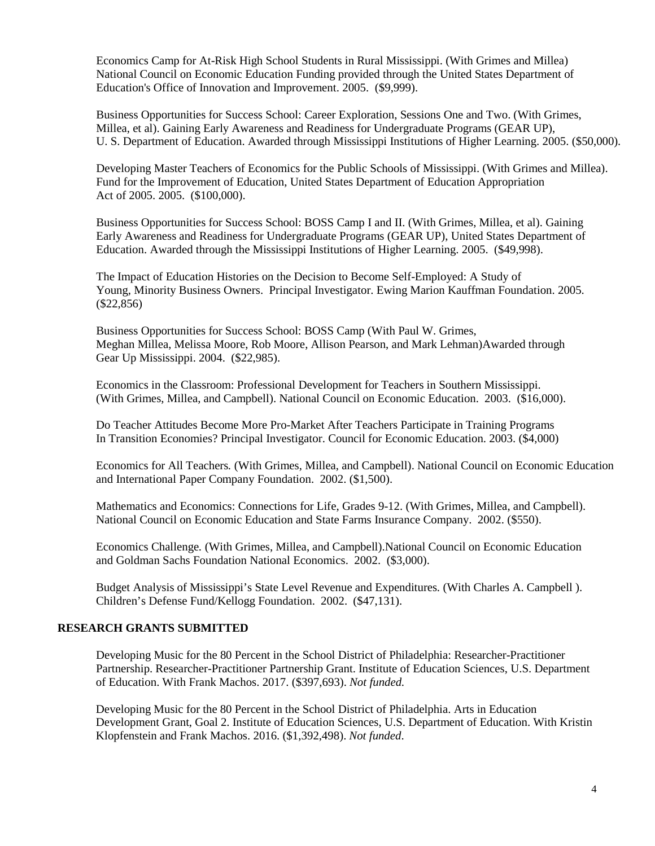Economics Camp for At-Risk High School Students in Rural Mississippi. (With Grimes and Millea) National Council on Economic Education Funding provided through the United States Department of Education's Office of Innovation and Improvement. 2005. (\$9,999).

Business Opportunities for Success School: Career Exploration, Sessions One and Two. (With Grimes, Millea, et al). Gaining Early Awareness and Readiness for Undergraduate Programs (GEAR UP), U. S. Department of Education. Awarded through Mississippi Institutions of Higher Learning. 2005. (\$50,000).

Developing Master Teachers of Economics for the Public Schools of Mississippi. (With Grimes and Millea). Fund for the Improvement of Education, United States Department of Education Appropriation Act of 2005. 2005. (\$100,000).

Business Opportunities for Success School: BOSS Camp I and II. (With Grimes, Millea, et al). Gaining Early Awareness and Readiness for Undergraduate Programs (GEAR UP), United States Department of Education. Awarded through the Mississippi Institutions of Higher Learning. 2005. (\$49,998).

The Impact of Education Histories on the Decision to Become Self-Employed: A Study of Young, Minority Business Owners. Principal Investigator. Ewing Marion Kauffman Foundation. 2005. (\$22,856)

Business Opportunities for Success School: BOSS Camp (With Paul W. Grimes, Meghan Millea, Melissa Moore, Rob Moore, Allison Pearson, and Mark Lehman)Awarded through Gear Up Mississippi. 2004. (\$22,985).

Economics in the Classroom: Professional Development for Teachers in Southern Mississippi. (With Grimes, Millea, and Campbell). National Council on Economic Education. 2003. (\$16,000).

Do Teacher Attitudes Become More Pro-Market After Teachers Participate in Training Programs In Transition Economies? Principal Investigator. Council for Economic Education. 2003. (\$4,000)

Economics for All Teachers*.* (With Grimes, Millea, and Campbell). National Council on Economic Education and International Paper Company Foundation. 2002. (\$1,500).

Mathematics and Economics: Connections for Life, Grades 9-12. (With Grimes, Millea, and Campbell). National Council on Economic Education and State Farms Insurance Company. 2002. (\$550).

Economics Challenge*.* (With Grimes, Millea, and Campbell).National Council on Economic Education and Goldman Sachs Foundation National Economics. 2002. (\$3,000).

Budget Analysis of Mississippi's State Level Revenue and Expenditures*.* (With Charles A. Campbell ). Children's Defense Fund/Kellogg Foundation. 2002. (\$47,131).

# **RESEARCH GRANTS SUBMITTED**

Developing Music for the 80 Percent in the School District of Philadelphia: Researcher-Practitioner Partnership. Researcher-Practitioner Partnership Grant. Institute of Education Sciences, U.S. Department of Education. With Frank Machos. 2017. (\$397,693). *Not funded.*

Developing Music for the 80 Percent in the School District of Philadelphia. Arts in Education Development Grant, Goal 2. Institute of Education Sciences, U.S. Department of Education. With Kristin Klopfenstein and Frank Machos. 2016. (\$1,392,498). *Not funded*.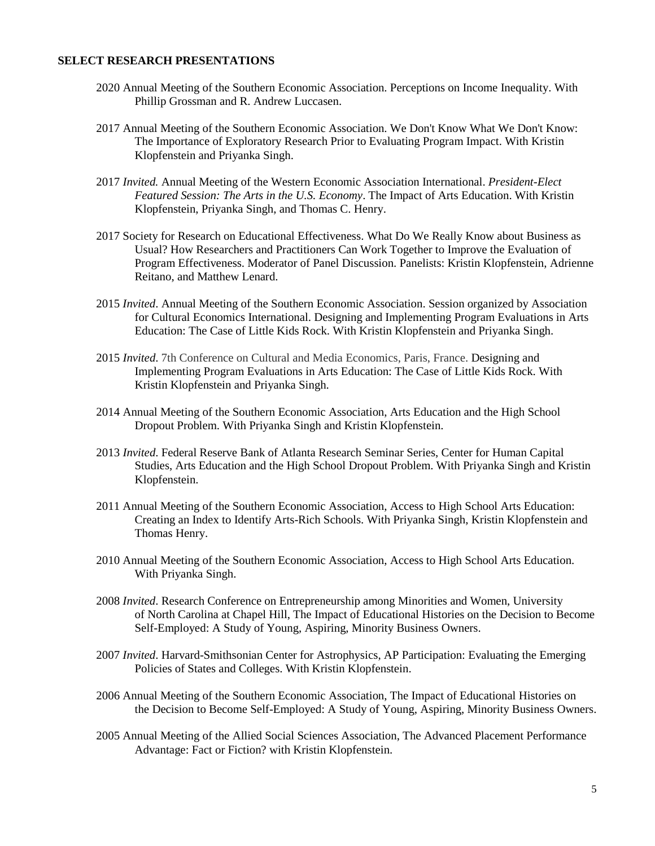# **SELECT RESEARCH PRESENTATIONS**

- 2020 Annual Meeting of the Southern Economic Association. Perceptions on Income Inequality. With Phillip Grossman and R. Andrew Luccasen.
- 2017 Annual Meeting of the Southern Economic Association. We Don't Know What We Don't Know: The Importance of Exploratory Research Prior to Evaluating Program Impact. With Kristin Klopfenstein and Priyanka Singh.
- 2017 *Invited.* Annual Meeting of the Western Economic Association International. *President-Elect Featured Session: The Arts in the U.S. Economy*. The Impact of Arts Education. With Kristin Klopfenstein, Priyanka Singh, and Thomas C. Henry.
- 2017 Society for Research on Educational Effectiveness. What Do We Really Know about Business as Usual? How Researchers and Practitioners Can Work Together to Improve the Evaluation of Program Effectiveness. Moderator of Panel Discussion. Panelists: Kristin Klopfenstein, Adrienne Reitano, and Matthew Lenard.
- 2015 *Invited*. Annual Meeting of the Southern Economic Association. Session organized by Association for Cultural Economics International. Designing and Implementing Program Evaluations in Arts Education: The Case of Little Kids Rock. With Kristin Klopfenstein and Priyanka Singh.
- 2015 *Invited*. 7th Conference on Cultural and Media Economics, Paris, France. Designing and Implementing Program Evaluations in Arts Education: The Case of Little Kids Rock. With Kristin Klopfenstein and Priyanka Singh.
- 2014 Annual Meeting of the Southern Economic Association, Arts Education and the High School Dropout Problem. With Priyanka Singh and Kristin Klopfenstein.
- 2013 *Invited*. Federal Reserve Bank of Atlanta Research Seminar Series, Center for Human Capital Studies, Arts Education and the High School Dropout Problem. With Priyanka Singh and Kristin Klopfenstein.
- 2011 Annual Meeting of the Southern Economic Association, Access to High School Arts Education: Creating an Index to Identify Arts-Rich Schools. With Priyanka Singh, Kristin Klopfenstein and Thomas Henry.
- 2010 Annual Meeting of the Southern Economic Association, Access to High School Arts Education. With Priyanka Singh.
- 2008 *Invited*. Research Conference on Entrepreneurship among Minorities and Women, University of North Carolina at Chapel Hill, The Impact of Educational Histories on the Decision to Become Self-Employed: A Study of Young, Aspiring, Minority Business Owners.
- 2007 *Invited*. Harvard-Smithsonian Center for Astrophysics, AP Participation: Evaluating the Emerging Policies of States and Colleges. With Kristin Klopfenstein.
- 2006 Annual Meeting of the Southern Economic Association, The Impact of Educational Histories on the Decision to Become Self-Employed: A Study of Young, Aspiring, Minority Business Owners.
- 2005 Annual Meeting of the Allied Social Sciences Association, The Advanced Placement Performance Advantage: Fact or Fiction? with Kristin Klopfenstein.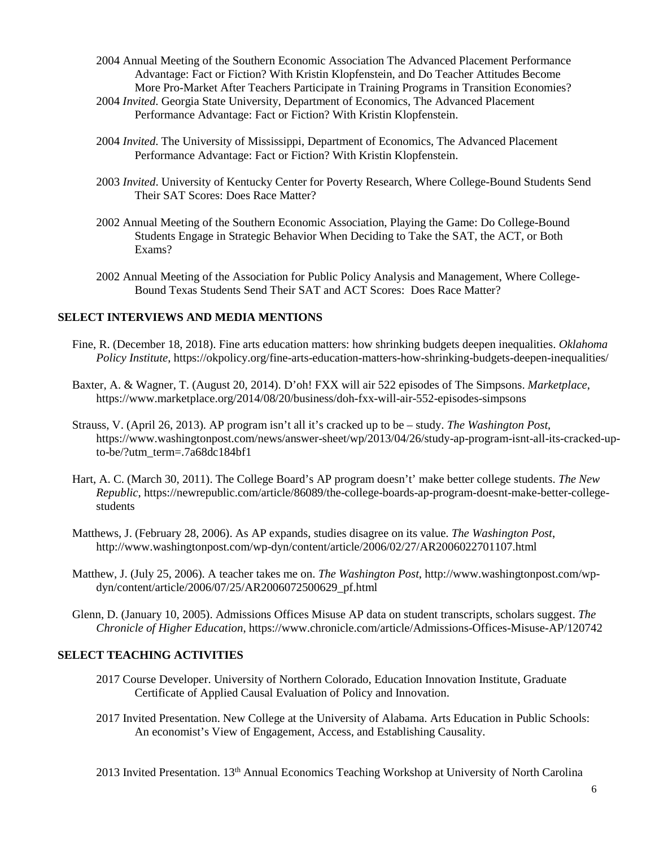- 2004 Annual Meeting of the Southern Economic Association The Advanced Placement Performance Advantage: Fact or Fiction? With Kristin Klopfenstein, and Do Teacher Attitudes Become More Pro-Market After Teachers Participate in Training Programs in Transition Economies?
- 2004 *Invited*. Georgia State University, Department of Economics, The Advanced Placement Performance Advantage: Fact or Fiction? With Kristin Klopfenstein.
- 2004 *Invited*. The University of Mississippi, Department of Economics, The Advanced Placement Performance Advantage: Fact or Fiction? With Kristin Klopfenstein.
- 2003 *Invited*. University of Kentucky Center for Poverty Research, Where College-Bound Students Send Their SAT Scores: Does Race Matter?
- 2002 Annual Meeting of the Southern Economic Association, Playing the Game: Do College-Bound Students Engage in Strategic Behavior When Deciding to Take the SAT, the ACT, or Both Exams?
- 2002 Annual Meeting of the Association for Public Policy Analysis and Management, Where College-Bound Texas Students Send Their SAT and ACT Scores: Does Race Matter?

# **SELECT INTERVIEWS AND MEDIA MENTIONS**

- Fine, R. (December 18, 2018). Fine arts education matters: how shrinking budgets deepen inequalities. *Oklahoma Policy Institute*, https://okpolicy.org/fine-arts-education-matters-how-shrinking-budgets-deepen-inequalities/
- Baxter, A. & Wagner, T. (August 20, 2014). D'oh! FXX will air 522 episodes of The Simpsons. *Marketplace*, https://www.marketplace.org/2014/08/20/business/doh-fxx-will-air-552-episodes-simpsons
- Strauss, V. (April 26, 2013). AP program isn't all it's cracked up to be study. *The Washington Post*, https://www.washingtonpost.com/news/answer-sheet/wp/2013/04/26/study-ap-program-isnt-all-its-cracked-upto-be/?utm\_term=.7a68dc184bf1
- Hart, A. C. (March 30, 2011). The College Board's AP program doesn't' make better college students. *The New Republic*, https://newrepublic.com/article/86089/the-college-boards-ap-program-doesnt-make-better-collegestudents
- Matthews, J. (February 28, 2006). As AP expands, studies disagree on its value. *The Washington Post*, http://www.washingtonpost.com/wp-dyn/content/article/2006/02/27/AR2006022701107.html
- Matthew, J. (July 25, 2006). A teacher takes me on. *The Washington Post*, http://www.washingtonpost.com/wpdyn/content/article/2006/07/25/AR2006072500629\_pf.html
- Glenn, D. (January 10, 2005). Admissions Offices Misuse AP data on student transcripts, scholars suggest. *The Chronicle of Higher Education*, https://www.chronicle.com/article/Admissions-Offices-Misuse-AP/120742

# **SELECT TEACHING ACTIVITIES**

- 2017 Course Developer. University of Northern Colorado, Education Innovation Institute, Graduate Certificate of Applied Causal Evaluation of Policy and Innovation.
- 2017 Invited Presentation. New College at the University of Alabama. Arts Education in Public Schools: An economist's View of Engagement, Access, and Establishing Causality.

2013 Invited Presentation. 13th Annual Economics Teaching Workshop at University of North Carolina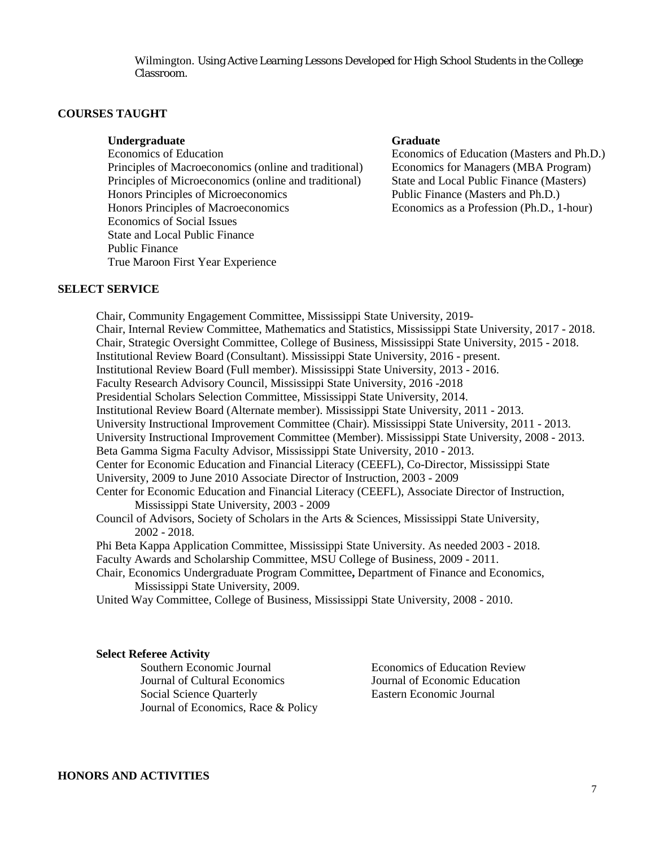Wilmington. Using Active Learning Lessons Developed for High School Students in the College Classroom.

# **COURSES TAUGHT**

# **Undergraduate Graduate**

Principles of Macroeconomics (online and traditional) Economics for Managers (MBA Program) Principles of Microeconomics (online and traditional) State and Local Public Finance (Masters) Honors Principles of Microeconomics Public Finance (Masters and Ph.D.) Honors Principles of Macroeconomics Economics as a Profession (Ph.D., 1-hour) Economics of Social Issues State and Local Public Finance Public Finance True Maroon First Year Experience

Economics of Education Economics of Education (Masters and Ph.D.)

### **SELECT SERVICE**

Chair, Community Engagement Committee, Mississippi State University, 2019- Chair, Internal Review Committee, Mathematics and Statistics, Mississippi State University, 2017 - 2018. Chair, Strategic Oversight Committee, College of Business, Mississippi State University, 2015 - 2018. Institutional Review Board (Consultant). Mississippi State University, 2016 - present. Institutional Review Board (Full member). Mississippi State University, 2013 - 2016. Faculty Research Advisory Council, Mississippi State University, 2016 -2018 Presidential Scholars Selection Committee, Mississippi State University, 2014. Institutional Review Board (Alternate member). Mississippi State University, 2011 - 2013. University Instructional Improvement Committee (Chair). Mississippi State University, 2011 - 2013. University Instructional Improvement Committee (Member). Mississippi State University, 2008 - 2013. Beta Gamma Sigma Faculty Advisor, Mississippi State University, 2010 - 2013. Center for Economic Education and Financial Literacy (CEEFL), Co-Director, Mississippi State University, 2009 to June 2010 Associate Director of Instruction, 2003 - 2009 Center for Economic Education and Financial Literacy (CEEFL), Associate Director of Instruction, Mississippi State University, 2003 - 2009 Council of Advisors, Society of Scholars in the Arts & Sciences, Mississippi State University, 2002 - 2018. Phi Beta Kappa Application Committee, Mississippi State University. As needed 2003 - 2018. Faculty Awards and Scholarship Committee, MSU College of Business, 2009 - 2011. Chair, Economics Undergraduate Program Committee**,** Department of Finance and Economics, Mississippi State University, 2009.

United Way Committee, College of Business, Mississippi State University, 2008 - 2010.

#### **Select Referee Activity**

Southern Economic Journal Economics of Education Review Journal of Cultural Economics Journal of Economic Education Social Science Quarterly Eastern Economic Journal Journal of Economics, Race & Policy